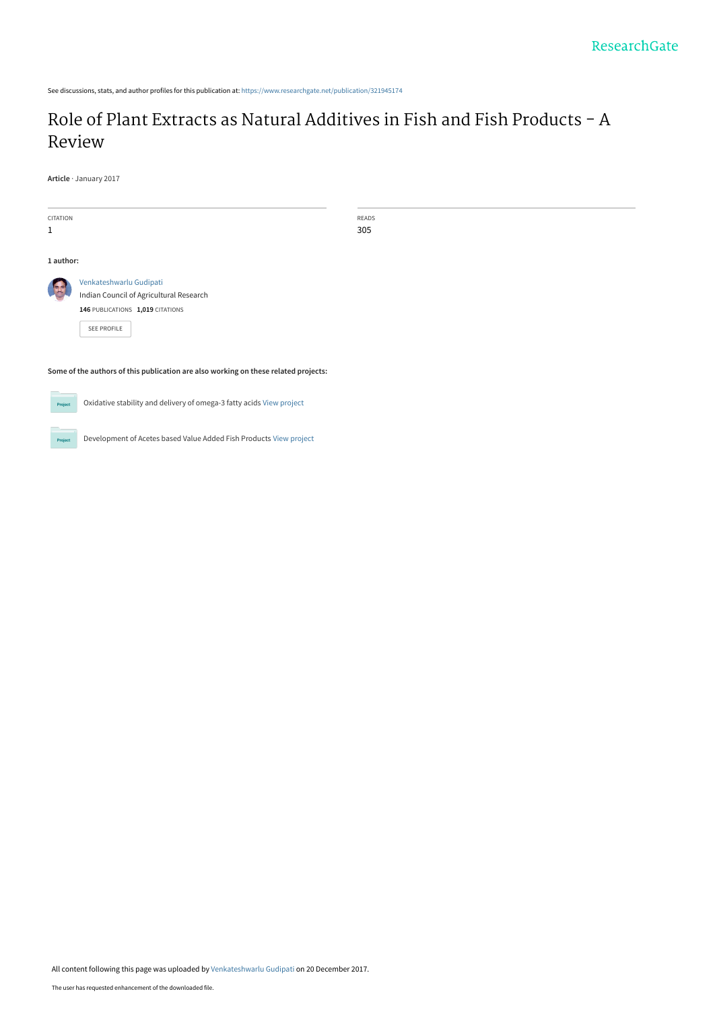See discussions, stats, and author profiles for this publication at: [https://www.researchgate.net/publication/321945174](https://www.researchgate.net/publication/321945174_Role_of_Plant_Extracts_as_Natural_Additives_in_Fish_and_Fish_Products_-_A_Review?enrichId=rgreq-b4d47bb6db3f9488f58113d932de6c11-XXX&enrichSource=Y292ZXJQYWdlOzMyMTk0NTE3NDtBUzo1NzM2MzY1NzYxOTg2NjhAMTUxMzc3NzAyNTkzMg%3D%3D&el=1_x_2&_esc=publicationCoverPdf)

# [Role of Plant Extracts as Natural Additives in Fish and Fish Products - A](https://www.researchgate.net/publication/321945174_Role_of_Plant_Extracts_as_Natural_Additives_in_Fish_and_Fish_Products_-_A_Review?enrichId=rgreq-b4d47bb6db3f9488f58113d932de6c11-XXX&enrichSource=Y292ZXJQYWdlOzMyMTk0NTE3NDtBUzo1NzM2MzY1NzYxOTg2NjhAMTUxMzc3NzAyNTkzMg%3D%3D&el=1_x_3&_esc=publicationCoverPdf) Review

**Article** · January 2017

| CITATION<br>1                                                                                 |                                                                                                                       |  | READS<br>305 |
|-----------------------------------------------------------------------------------------------|-----------------------------------------------------------------------------------------------------------------------|--|--------------|
| 1 author:                                                                                     |                                                                                                                       |  |              |
|                                                                                               | Venkateshwarlu Gudipati<br>Indian Council of Agricultural Research<br>146 PUBLICATIONS 1,019 CITATIONS<br>SEE PROFILE |  |              |
| Some of the authors of this publication are also working on these related projects:<br>$\sim$ |                                                                                                                       |  |              |

**Project** 

Oxidative stability and delivery of omega-3 fatty acids [View project](https://www.researchgate.net/project/Oxidative-stability-and-delivery-of-omega-3-fatty-acids?enrichId=rgreq-b4d47bb6db3f9488f58113d932de6c11-XXX&enrichSource=Y292ZXJQYWdlOzMyMTk0NTE3NDtBUzo1NzM2MzY1NzYxOTg2NjhAMTUxMzc3NzAyNTkzMg%3D%3D&el=1_x_9&_esc=publicationCoverPdf)



Development of Acetes based Value Added Fish Products [View project](https://www.researchgate.net/project/Development-of-Acetes-based-Value-Added-Fish-Products?enrichId=rgreq-b4d47bb6db3f9488f58113d932de6c11-XXX&enrichSource=Y292ZXJQYWdlOzMyMTk0NTE3NDtBUzo1NzM2MzY1NzYxOTg2NjhAMTUxMzc3NzAyNTkzMg%3D%3D&el=1_x_9&_esc=publicationCoverPdf)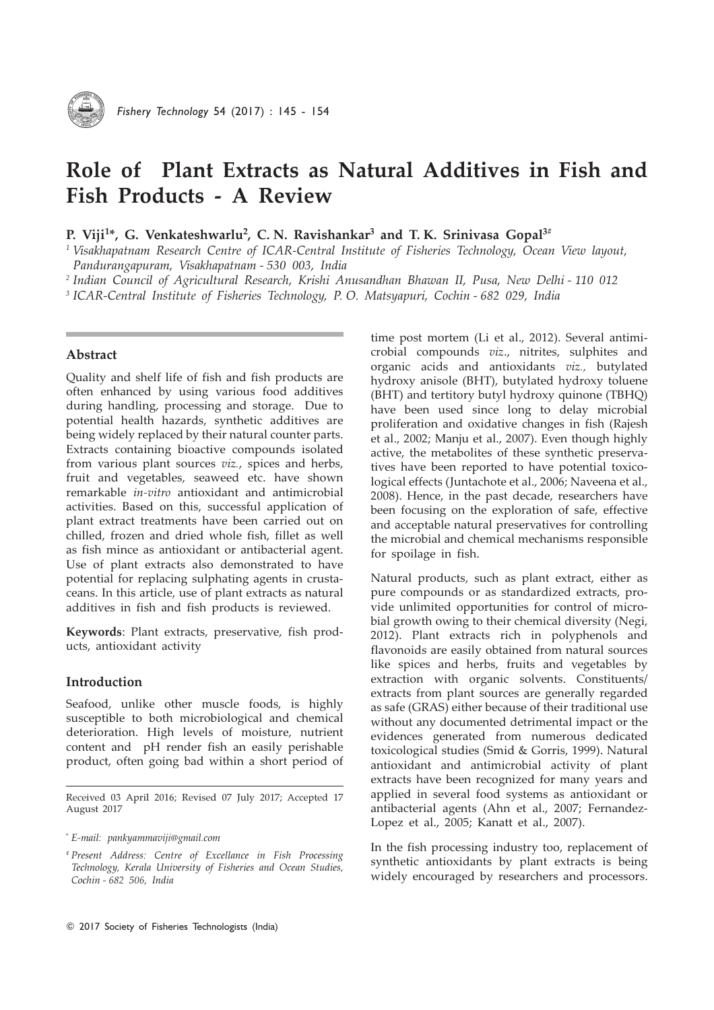

# Role of Plant Extracts as Natural Additives in Fish and Fish Products - A Review

# P. Viji<sup>1\*</sup>, G. Venkateshwarlu<sup>2</sup>, C. N. Ravishankar<sup>3</sup> and T. K. Srinivasa Gopal<sup>3#</sup>

<sup>1</sup> Visakhapatnam Research Centre of ICAR-Central Institute of Fisheries Technology, Ocean View layout, Pandurangapuram, Visakhapatnam - 530 003, India

<sup>2</sup> Indian Council of Agricultural Research, Krishi Anusandhan Bhawan II, Pusa, New Delhi - 110 012

<sup>3</sup> ICAR-Central Institute of Fisheries Technology, P.O. Matsyapuri, Cochin - 682 029, India

### Abstract

Quality and shelf life of fish and fish products are often enhanced by using various food additives during handling, processing and storage. Due to potential health hazards, synthetic additives are being widely replaced by their natural counter parts. Extracts containing bioactive compounds isolated from various plant sources viz., spices and herbs, fruit and vegetables, seaweed etc. have shown remarkable in-vitro antioxidant and antimicrobial activities. Based on this, successful application of plant extract treatments have been carried out on chilled, frozen and dried whole fish, fillet as well as fish mince as antioxidant or antibacterial agent. Use of plant extracts also demonstrated to have potential for replacing sulphating agents in crustaceans. In this article, use of plant extracts as natural additives in fish and fish products is reviewed.

Keywords: Plant extracts, preservative, fish products, antioxidant activity

# Introduction

Seafood, unlike other muscle foods, is highly susceptible to both microbiological and chemical deterioration. High levels of moisture, nutrient content and pH render fish an easily perishable product, often going bad within a short period of crobial compounds viz., nitrites, sulphites and organic acids and antioxidants viz., butylated hydroxy anisole (BHT), butylated hydroxy toluene (BHT) and tertitory butyl hydroxy quinone (TBHQ) have been used since long to delay microbial proliferation and oxidative changes in fish (Rajesh et al., 2002; Manju et al., 2007). Even though highly active, the metabolites of these synthetic preservatives have been reported to have potential toxicological effects (Juntachote et al., 2006; Naveena et al., 2008). Hence, in the past decade, researchers have been focusing on the exploration of safe, effective and acceptable natural preservatives for controlling the microbial and chemical mechanisms responsible for spoilage in fish.

time post mortem (Li et al., 2012). Several antimi-

Natural products, such as plant extract, either as pure compounds or as standardized extracts, provide unlimited opportunities for control of microbial growth owing to their chemical diversity (Negi, 2012). Plant extracts rich in polyphenols and flavonoids are easily obtained from natural sources like spices and herbs, fruits and vegetables by extraction with organic solvents. Constituents/ extracts from plant sources are generally regarded as safe (GRAS) either because of their traditional use without any documented detrimental impact or the evidences generated from numerous dedicated toxicological studies (Smid & Gorris, 1999). Natural antioxidant and antimicrobial activity of plant extracts have been recognized for many years and applied in several food systems as antioxidant or antibacterial agents (Ahn et al., 2007; Fernandez-Lopez et al., 2005; Kanatt et al., 2007).

In the fish processing industry too, replacement of synthetic antioxidants by plant extracts is being widely encouraged by researchers and processors.

Received 03 April 2016; Revised 07 July 2017; Accepted 17 August 2017

*<sup>\*</sup>* E-mail: pankyammaviji@gmail.com

*<sup>#</sup>* Present Address: Centre of Excellance in Fish Processing Technology, Kerala University of Fisheries and Ocean Studies, Cochin - 682 506, India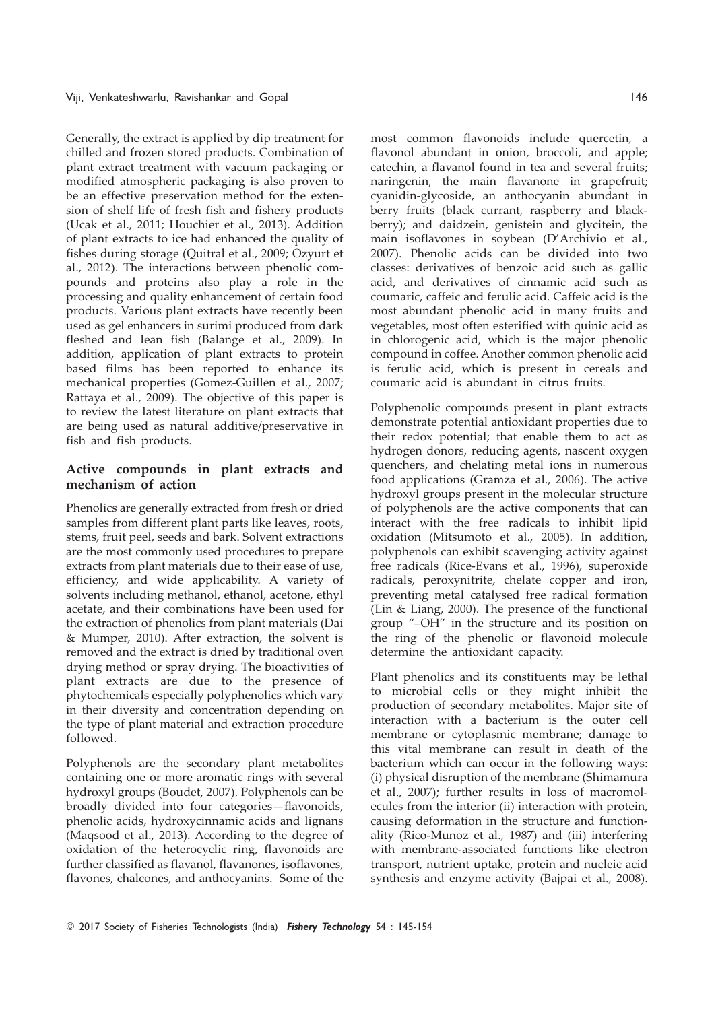Generally, the extract is applied by dip treatment for chilled and frozen stored products. Combination of plant extract treatment with vacuum packaging or modified atmospheric packaging is also proven to be an effective preservation method for the extension of shelf life of fresh fish and fishery products (Ucak et al., 2011; Houchier et al., 2013). Addition of plant extracts to ice had enhanced the quality of fishes during storage (Quitral et al., 2009; Ozyurt et al., 2012). The interactions between phenolic compounds and proteins also play a role in the processing and quality enhancement of certain food products. Various plant extracts have recently been used as gel enhancers in surimi produced from dark fleshed and lean fish (Balange et al., 2009). In addition, application of plant extracts to protein based films has been reported to enhance its mechanical properties (Gomez-Guillen et al., 2007; Rattaya et al., 2009). The objective of this paper is to review the latest literature on plant extracts that are being used as natural additive/preservative in fish and fish products.

# Active compounds in plant extracts and mechanism of action

Phenolics are generally extracted from fresh or dried samples from different plant parts like leaves, roots, stems, fruit peel, seeds and bark. Solvent extractions are the most commonly used procedures to prepare extracts from plant materials due to their ease of use, efficiency, and wide applicability. A variety of solvents including methanol, ethanol, acetone, ethyl acetate, and their combinations have been used for the extraction of phenolics from plant materials (Dai & Mumper, 2010). After extraction, the solvent is removed and the extract is dried by traditional oven drying method or spray drying. The bioactivities of plant extracts are due to the presence of phytochemicals especially polyphenolics which vary in their diversity and concentration depending on the type of plant material and extraction procedure followed.

Polyphenols are the secondary plant metabolites containing one or more aromatic rings with several hydroxyl groups (Boudet, 2007). Polyphenols can be broadly divided into four categories—flavonoids, phenolic acids, hydroxycinnamic acids and lignans (Maqsood et al., 2013). According to the degree of oxidation of the heterocyclic ring, flavonoids are further classified as flavanol, flavanones, isoflavones, flavones, chalcones, and anthocyanins. Some of the most common flavonoids include quercetin, a flavonol abundant in onion, broccoli, and apple; catechin, a flavanol found in tea and several fruits; naringenin, the main flavanone in grapefruit; cyanidin-glycoside, an anthocyanin abundant in berry fruits (black currant, raspberry and blackberry); and daidzein, genistein and glycitein, the main isoflavones in soybean (D'Archivio et al., 2007). Phenolic acids can be divided into two classes: derivatives of benzoic acid such as gallic acid, and derivatives of cinnamic acid such as coumaric, caffeic and ferulic acid. Caffeic acid is the most abundant phenolic acid in many fruits and vegetables, most often esterified with quinic acid as in chlorogenic acid, which is the major phenolic compound in coffee. Another common phenolic acid is ferulic acid, which is present in cereals and coumaric acid is abundant in citrus fruits.

Polyphenolic compounds present in plant extracts demonstrate potential antioxidant properties due to their redox potential; that enable them to act as hydrogen donors, reducing agents, nascent oxygen quenchers, and chelating metal ions in numerous food applications (Gramza et al., 2006). The active hydroxyl groups present in the molecular structure of polyphenols are the active components that can interact with the free radicals to inhibit lipid oxidation (Mitsumoto et al., 2005). In addition, polyphenols can exhibit scavenging activity against free radicals (Rice-Evans et al., 1996), superoxide radicals, peroxynitrite, chelate copper and iron, preventing metal catalysed free radical formation (Lin & Liang, 2000). The presence of the functional group "–OH" in the structure and its position on the ring of the phenolic or flavonoid molecule determine the antioxidant capacity.

Plant phenolics and its constituents may be lethal to microbial cells or they might inhibit the production of secondary metabolites. Major site of interaction with a bacterium is the outer cell membrane or cytoplasmic membrane; damage to this vital membrane can result in death of the bacterium which can occur in the following ways: (i) physical disruption of the membrane (Shimamura et al., 2007); further results in loss of macromolecules from the interior (ii) interaction with protein, causing deformation in the structure and functionality (Rico-Munoz et al., 1987) and (iii) interfering with membrane-associated functions like electron transport, nutrient uptake, protein and nucleic acid synthesis and enzyme activity (Bajpai et al., 2008).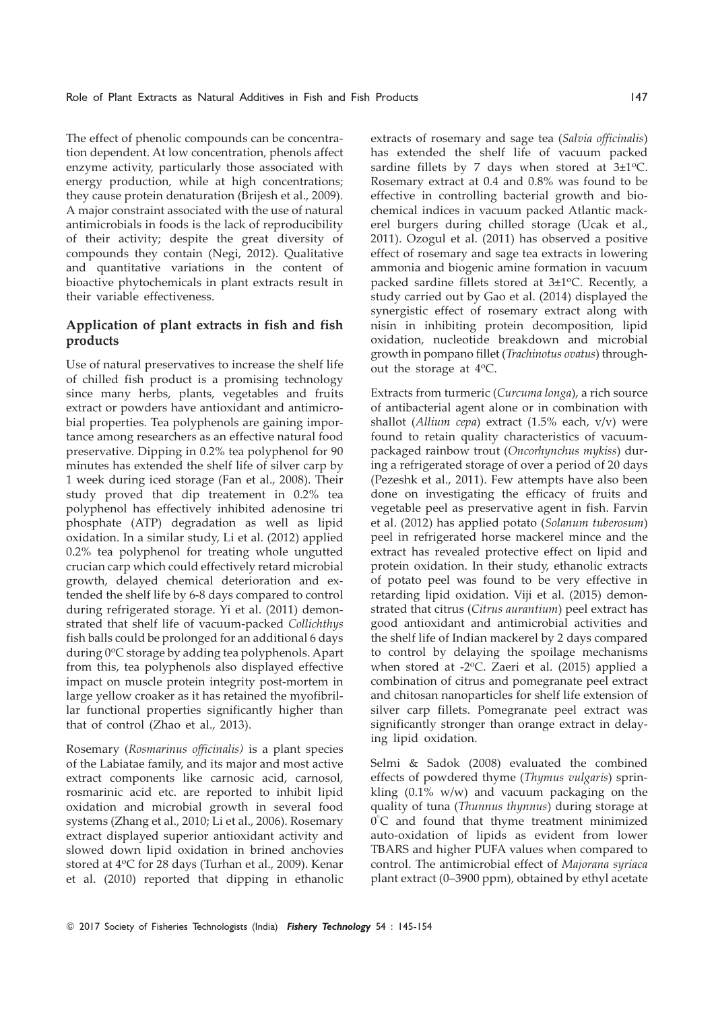The effect of phenolic compounds can be concentration dependent. At low concentration, phenols affect enzyme activity, particularly those associated with energy production, while at high concentrations; they cause protein denaturation (Brijesh et al., 2009). A major constraint associated with the use of natural antimicrobials in foods is the lack of reproducibility of their activity; despite the great diversity of compounds they contain (Negi, 2012). Qualitative and quantitative variations in the content of bioactive phytochemicals in plant extracts result in their variable effectiveness.

# Application of plant extracts in fish and fish products

Use of natural preservatives to increase the shelf life of chilled fish product is a promising technology since many herbs, plants, vegetables and fruits extract or powders have antioxidant and antimicrobial properties. Tea polyphenols are gaining importance among researchers as an effective natural food preservative. Dipping in 0.2% tea polyphenol for 90 minutes has extended the shelf life of silver carp by 1 week during iced storage (Fan et al., 2008). Their study proved that dip treatement in 0.2% tea polyphenol has effectively inhibited adenosine tri phosphate (ATP) degradation as well as lipid oxidation. In a similar study, Li et al. (2012) applied 0.2% tea polyphenol for treating whole ungutted crucian carp which could effectively retard microbial growth, delayed chemical deterioration and extended the shelf life by 6-8 days compared to control during refrigerated storage. Yi et al. (2011) demonstrated that shelf life of vacuum-packed Collichthys fish balls could be prolonged for an additional 6 days during 0°C storage by adding tea polyphenols. Apart from this, tea polyphenols also displayed effective impact on muscle protein integrity post-mortem in large yellow croaker as it has retained the myofibrillar functional properties significantly higher than that of control (Zhao et al., 2013).

Rosemary (Rosmarinus officinalis) is a plant species of the Labiatae family, and its major and most active extract components like carnosic acid, carnosol, rosmarinic acid etc. are reported to inhibit lipid oxidation and microbial growth in several food systems (Zhang et al., 2010; Li et al., 2006). Rosemary extract displayed superior antioxidant activity and slowed down lipid oxidation in brined anchovies stored at 4°C for 28 days (Turhan et al., 2009). Kenar et al. (2010) reported that dipping in ethanolic extracts of rosemary and sage tea (Salvia officinalis) has extended the shelf life of vacuum packed sardine fillets by 7 days when stored at  $3\pm1$ <sup>o</sup>C. Rosemary extract at 0.4 and 0.8% was found to be effective in controlling bacterial growth and biochemical indices in vacuum packed Atlantic mackerel burgers during chilled storage (Ucak et al., 2011). Ozogul et al. (2011) has observed a positive effect of rosemary and sage tea extracts in lowering ammonia and biogenic amine formation in vacuum packed sardine fillets stored at  $3\pm1$ <sup>o</sup>C. Recently, a study carried out by Gao et al. (2014) displayed the synergistic effect of rosemary extract along with nisin in inhibiting protein decomposition, lipid oxidation, nucleotide breakdown and microbial growth in pompano fillet (Trachinotus ovatus) throughout the storage at 4<sup>o</sup>C.

Extracts from turmeric (Curcuma longa), a rich source of antibacterial agent alone or in combination with shallot (Allium cepa) extract (1.5% each,  $v/v$ ) were found to retain quality characteristics of vacuumpackaged rainbow trout (Oncorhynchus mykiss) during a refrigerated storage of over a period of 20 days (Pezeshk et al., 2011). Few attempts have also been done on investigating the efficacy of fruits and vegetable peel as preservative agent in fish. Farvin et al. (2012) has applied potato (Solanum tuberosum) peel in refrigerated horse mackerel mince and the extract has revealed protective effect on lipid and protein oxidation. In their study, ethanolic extracts of potato peel was found to be very effective in retarding lipid oxidation. Viji et al. (2015) demonstrated that citrus (Citrus aurantium) peel extract has good antioxidant and antimicrobial activities and the shelf life of Indian mackerel by 2 days compared to control by delaying the spoilage mechanisms when stored at -2°C. Zaeri et al. (2015) applied a combination of citrus and pomegranate peel extract and chitosan nanoparticles for shelf life extension of silver carp fillets. Pomegranate peel extract was significantly stronger than orange extract in delaying lipid oxidation.

Selmi & Sadok (2008) evaluated the combined effects of powdered thyme (Thymus vulgaris) sprinkling (0.1% w/w) and vacuum packaging on the quality of tuna (Thunnus thynnus) during storage at 0° C and found that thyme treatment minimized auto-oxidation of lipids as evident from lower TBARS and higher PUFA values when compared to control. The antimicrobial effect of Majorana syriaca plant extract (0–3900 ppm), obtained by ethyl acetate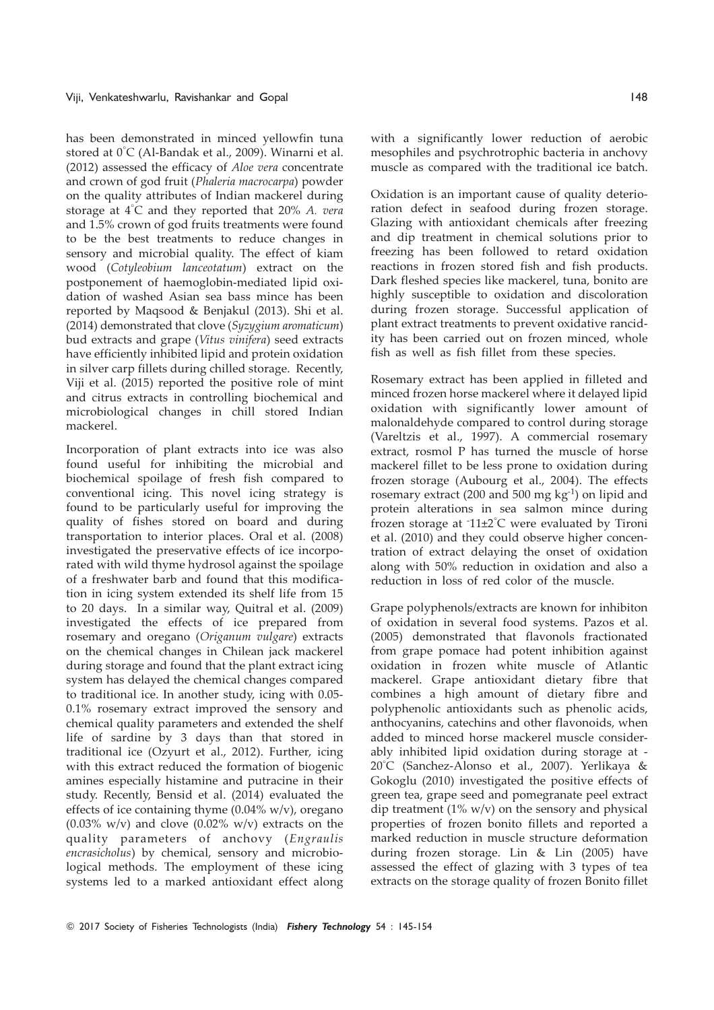has been demonstrated in minced yellowfin tuna stored at 0° C (Al-Bandak et al., 2009). Winarni et al. (2012) assessed the efficacy of Aloe vera concentrate and crown of god fruit (Phaleria macrocarpa) powder on the quality attributes of Indian mackerel during storage at  $4^{\circ}$ C and they reported that 20% A. vera and 1.5% crown of god fruits treatments were found to be the best treatments to reduce changes in sensory and microbial quality. The effect of kiam wood (Cotyleobium lanceotatum) extract on the postponement of haemoglobin-mediated lipid oxidation of washed Asian sea bass mince has been reported by Maqsood & Benjakul (2013). Shi et al. (2014) demonstrated that clove (Syzygium aromaticum) bud extracts and grape (Vitus vinifera) seed extracts have efficiently inhibited lipid and protein oxidation in silver carp fillets during chilled storage. Recently, Viji et al. (2015) reported the positive role of mint and citrus extracts in controlling biochemical and microbiological changes in chill stored Indian mackerel.

Incorporation of plant extracts into ice was also found useful for inhibiting the microbial and biochemical spoilage of fresh fish compared to conventional icing. This novel icing strategy is found to be particularly useful for improving the quality of fishes stored on board and during transportation to interior places. Oral et al. (2008) investigated the preservative effects of ice incorporated with wild thyme hydrosol against the spoilage of a freshwater barb and found that this modification in icing system extended its shelf life from 15 to 20 days. In a similar way, Quitral et al. (2009) investigated the effects of ice prepared from rosemary and oregano (Origanum vulgare) extracts on the chemical changes in Chilean jack mackerel during storage and found that the plant extract icing system has delayed the chemical changes compared to traditional ice. In another study, icing with 0.05- 0.1% rosemary extract improved the sensory and chemical quality parameters and extended the shelf life of sardine by 3 days than that stored in traditional ice (Ozyurt et al., 2012). Further, icing with this extract reduced the formation of biogenic amines especially histamine and putracine in their study. Recently, Bensid et al. (2014) evaluated the effects of ice containing thyme (0.04% w/v), oregano  $(0.03\% \text{ w/v})$  and clove  $(0.02\% \text{ w/v})$  extracts on the quality parameters of anchovy (Engraulis encrasicholus) by chemical, sensory and microbiological methods. The employment of these icing systems led to a marked antioxidant effect along

with a significantly lower reduction of aerobic mesophiles and psychrotrophic bacteria in anchovy muscle as compared with the traditional ice batch.

Oxidation is an important cause of quality deterioration defect in seafood during frozen storage. Glazing with antioxidant chemicals after freezing and dip treatment in chemical solutions prior to freezing has been followed to retard oxidation reactions in frozen stored fish and fish products. Dark fleshed species like mackerel, tuna, bonito are highly susceptible to oxidation and discoloration during frozen storage. Successful application of plant extract treatments to prevent oxidative rancidity has been carried out on frozen minced, whole fish as well as fish fillet from these species.

Rosemary extract has been applied in filleted and minced frozen horse mackerel where it delayed lipid oxidation with significantly lower amount of malonaldehyde compared to control during storage (Vareltzis et al., 1997). A commercial rosemary extract, rosmol P has turned the muscle of horse mackerel fillet to be less prone to oxidation during frozen storage (Aubourg et al., 2004). The effects rosemary extract (200 and 500 mg  $kg^{-1}$ ) on lipid and protein alterations in sea salmon mince during frozen storage at - 11±2° C were evaluated by Tironi et al. (2010) and they could observe higher concentration of extract delaying the onset of oxidation along with 50% reduction in oxidation and also a reduction in loss of red color of the muscle.

Grape polyphenols/extracts are known for inhibiton of oxidation in several food systems. Pazos et al. (2005) demonstrated that flavonols fractionated from grape pomace had potent inhibition against oxidation in frozen white muscle of Atlantic mackerel. Grape antioxidant dietary fibre that combines a high amount of dietary fibre and polyphenolic antioxidants such as phenolic acids, anthocyanins, catechins and other flavonoids, when added to minced horse mackerel muscle considerably inhibited lipid oxidation during storage at - 20° C (Sanchez-Alonso et al., 2007). Yerlikaya & Gokoglu (2010) investigated the positive effects of green tea, grape seed and pomegranate peel extract dip treatment  $(1\% w/v)$  on the sensory and physical properties of frozen bonito fillets and reported a marked reduction in muscle structure deformation during frozen storage. Lin & Lin (2005) have assessed the effect of glazing with 3 types of tea extracts on the storage quality of frozen Bonito fillet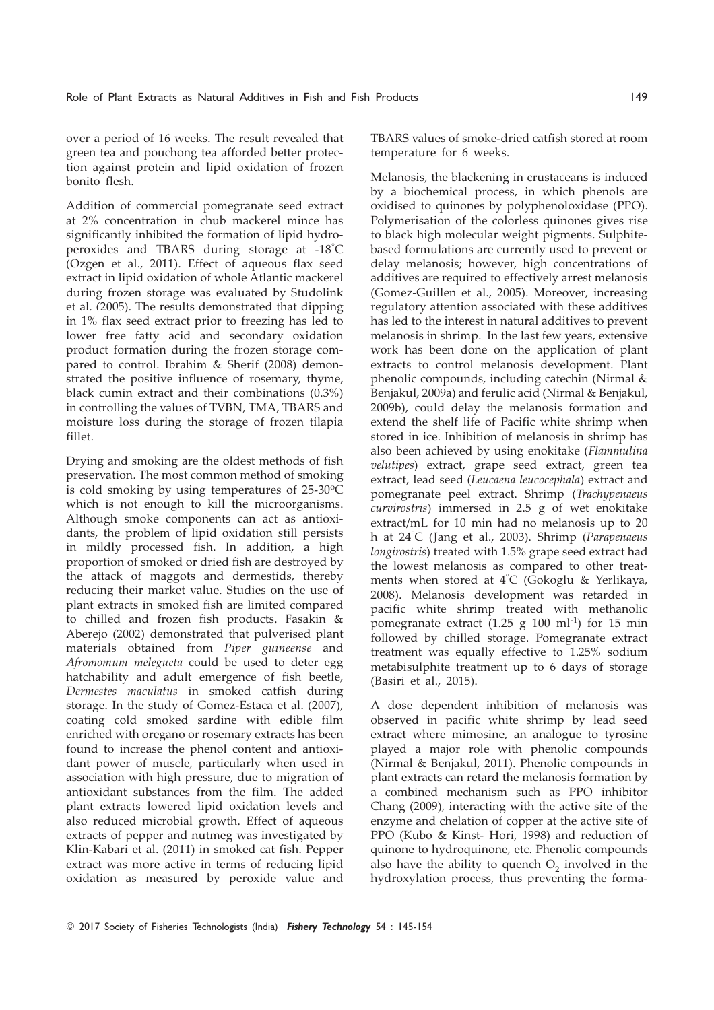over a period of 16 weeks. The result revealed that green tea and pouchong tea afforded better protection against protein and lipid oxidation of frozen bonito flesh.

Addition of commercial pomegranate seed extract at 2% concentration in chub mackerel mince has significantly inhibited the formation of lipid hydroperoxides and TBARS during storage at -18° C (Ozgen et al., 2011). Effect of aqueous flax seed extract in lipid oxidation of whole Atlantic mackerel during frozen storage was evaluated by Studolink et al. (2005). The results demonstrated that dipping in 1% flax seed extract prior to freezing has led to lower free fatty acid and secondary oxidation product formation during the frozen storage compared to control. Ibrahim & Sherif (2008) demonstrated the positive influence of rosemary, thyme, black cumin extract and their combinations (0.3%) in controlling the values of TVBN, TMA, TBARS and moisture loss during the storage of frozen tilapia fillet.

Drying and smoking are the oldest methods of fish preservation. The most common method of smoking is cold smoking by using temperatures of  $25\text{-}30\text{°C}$ which is not enough to kill the microorganisms. Although smoke components can act as antioxidants, the problem of lipid oxidation still persists in mildly processed fish. In addition, a high proportion of smoked or dried fish are destroyed by the attack of maggots and dermestids, thereby reducing their market value. Studies on the use of plant extracts in smoked fish are limited compared to chilled and frozen fish products. Fasakin & Aberejo (2002) demonstrated that pulverised plant materials obtained from Piper guineense and Afromomum melegueta could be used to deter egg hatchability and adult emergence of fish beetle, Dermestes maculatus in smoked catfish during storage. In the study of Gomez-Estaca et al. (2007), coating cold smoked sardine with edible film enriched with oregano or rosemary extracts has been found to increase the phenol content and antioxidant power of muscle, particularly when used in association with high pressure, due to migration of antioxidant substances from the film. The added plant extracts lowered lipid oxidation levels and also reduced microbial growth. Effect of aqueous extracts of pepper and nutmeg was investigated by Klin-Kabari et al. (2011) in smoked cat fish. Pepper extract was more active in terms of reducing lipid oxidation as measured by peroxide value and TBARS values of smoke-dried catfish stored at room temperature for 6 weeks.

Melanosis, the blackening in crustaceans is induced by a biochemical process, in which phenols are oxidised to quinones by polyphenoloxidase (PPO). Polymerisation of the colorless quinones gives rise to black high molecular weight pigments. Sulphitebased formulations are currently used to prevent or delay melanosis; however, high concentrations of additives are required to effectively arrest melanosis (Gomez-Guillen et al., 2005). Moreover, increasing regulatory attention associated with these additives has led to the interest in natural additives to prevent melanosis in shrimp. In the last few years, extensive work has been done on the application of plant extracts to control melanosis development. Plant phenolic compounds, including catechin (Nirmal & Benjakul, 2009a) and ferulic acid (Nirmal & Benjakul, 2009b), could delay the melanosis formation and extend the shelf life of Pacific white shrimp when stored in ice. Inhibition of melanosis in shrimp has also been achieved by using enokitake (Flammulina velutipes) extract, grape seed extract, green tea extract, lead seed (Leucaena leucocephala) extract and pomegranate peel extract. Shrimp (Trachypenaeus curvirostris) immersed in 2.5 g of wet enokitake extract/mL for 10 min had no melanosis up to 20 h at 24°C (Jang et al., 2003). Shrimp (*Parapenaeus* longirostris) treated with 1.5% grape seed extract had the lowest melanosis as compared to other treatments when stored at 4° C (Gokoglu & Yerlikaya, 2008). Melanosis development was retarded in pacific white shrimp treated with methanolic pomegranate extract (1.25 g 100 ml<sup>-1</sup>) for 15 min followed by chilled storage. Pomegranate extract treatment was equally effective to 1.25% sodium metabisulphite treatment up to 6 days of storage (Basiri et al., 2015).

A dose dependent inhibition of melanosis was observed in pacific white shrimp by lead seed extract where mimosine, an analogue to tyrosine played a major role with phenolic compounds (Nirmal & Benjakul, 2011). Phenolic compounds in plant extracts can retard the melanosis formation by a combined mechanism such as PPO inhibitor Chang (2009), interacting with the active site of the enzyme and chelation of copper at the active site of PPO (Kubo & Kinst- Hori, 1998) and reduction of quinone to hydroquinone, etc. Phenolic compounds also have the ability to quench  $O<sub>2</sub>$  involved in the hydroxylation process, thus preventing the forma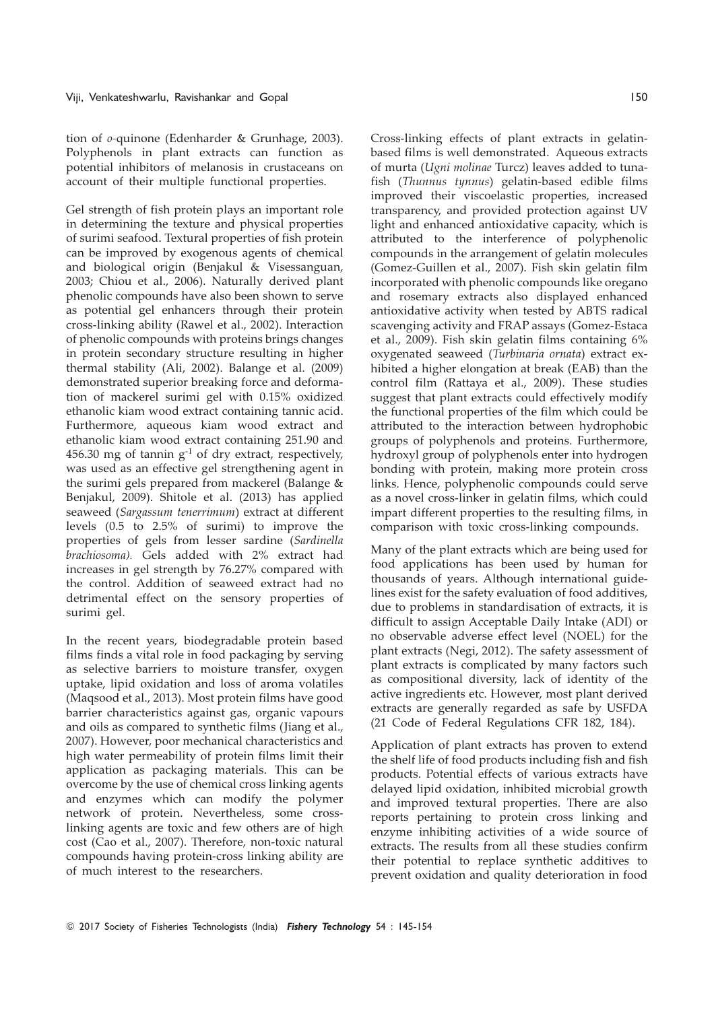tion of o-quinone (Edenharder & Grunhage, 2003). Polyphenols in plant extracts can function as potential inhibitors of melanosis in crustaceans on account of their multiple functional properties.

Gel strength of fish protein plays an important role in determining the texture and physical properties of surimi seafood. Textural properties of fish protein can be improved by exogenous agents of chemical and biological origin (Benjakul & Visessanguan, 2003; Chiou et al., 2006). Naturally derived plant phenolic compounds have also been shown to serve as potential gel enhancers through their protein cross-linking ability (Rawel et al., 2002). Interaction of phenolic compounds with proteins brings changes in protein secondary structure resulting in higher thermal stability (Ali, 2002). Balange et al. (2009) demonstrated superior breaking force and deformation of mackerel surimi gel with 0.15% oxidized ethanolic kiam wood extract containing tannic acid. Furthermore, aqueous kiam wood extract and ethanolic kiam wood extract containing 251.90 and 456.30 mg of tannin  $g^{-1}$  of dry extract, respectively. was used as an effective gel strengthening agent in the surimi gels prepared from mackerel (Balange & Benjakul, 2009). Shitole et al. (2013) has applied seaweed (Sargassum tenerrimum) extract at different levels (0.5 to 2.5% of surimi) to improve the properties of gels from lesser sardine (Sardinella brachiosoma). Gels added with 2% extract had increases in gel strength by 76.27% compared with the control. Addition of seaweed extract had no detrimental effect on the sensory properties of surimi gel.

In the recent years, biodegradable protein based films finds a vital role in food packaging by serving as selective barriers to moisture transfer, oxygen uptake, lipid oxidation and loss of aroma volatiles (Maqsood et al., 2013). Most protein films have good barrier characteristics against gas, organic vapours and oils as compared to synthetic films (Jiang et al., 2007). However, poor mechanical characteristics and high water permeability of protein films limit their application as packaging materials. This can be overcome by the use of chemical cross linking agents and enzymes which can modify the polymer network of protein. Nevertheless, some crosslinking agents are toxic and few others are of high cost (Cao et al., 2007). Therefore, non-toxic natural compounds having protein-cross linking ability are of much interest to the researchers.

Cross-linking effects of plant extracts in gelatinbased films is well demonstrated. Aqueous extracts of murta (Ugni molinae Turcz) leaves added to tunafish (Thunnus tynnus) gelatin-based edible films improved their viscoelastic properties, increased transparency, and provided protection against UV light and enhanced antioxidative capacity, which is attributed to the interference of polyphenolic compounds in the arrangement of gelatin molecules (Gomez-Guillen et al., 2007). Fish skin gelatin film incorporated with phenolic compounds like oregano and rosemary extracts also displayed enhanced antioxidative activity when tested by ABTS radical scavenging activity and FRAP assays (Gomez-Estaca et al., 2009). Fish skin gelatin films containing 6% oxygenated seaweed (Turbinaria ornata) extract exhibited a higher elongation at break (EAB) than the control film (Rattaya et al., 2009). These studies suggest that plant extracts could effectively modify the functional properties of the film which could be attributed to the interaction between hydrophobic groups of polyphenols and proteins. Furthermore, hydroxyl group of polyphenols enter into hydrogen bonding with protein, making more protein cross links. Hence, polyphenolic compounds could serve as a novel cross-linker in gelatin films, which could impart different properties to the resulting films, in comparison with toxic cross-linking compounds.

Many of the plant extracts which are being used for food applications has been used by human for thousands of years. Although international guidelines exist for the safety evaluation of food additives, due to problems in standardisation of extracts, it is difficult to assign Acceptable Daily Intake (ADI) or no observable adverse effect level (NOEL) for the plant extracts (Negi, 2012). The safety assessment of plant extracts is complicated by many factors such as compositional diversity, lack of identity of the active ingredients etc. However, most plant derived extracts are generally regarded as safe by USFDA (21 Code of Federal Regulations CFR 182, 184).

Application of plant extracts has proven to extend the shelf life of food products including fish and fish products. Potential effects of various extracts have delayed lipid oxidation, inhibited microbial growth and improved textural properties. There are also reports pertaining to protein cross linking and enzyme inhibiting activities of a wide source of extracts. The results from all these studies confirm their potential to replace synthetic additives to prevent oxidation and quality deterioration in food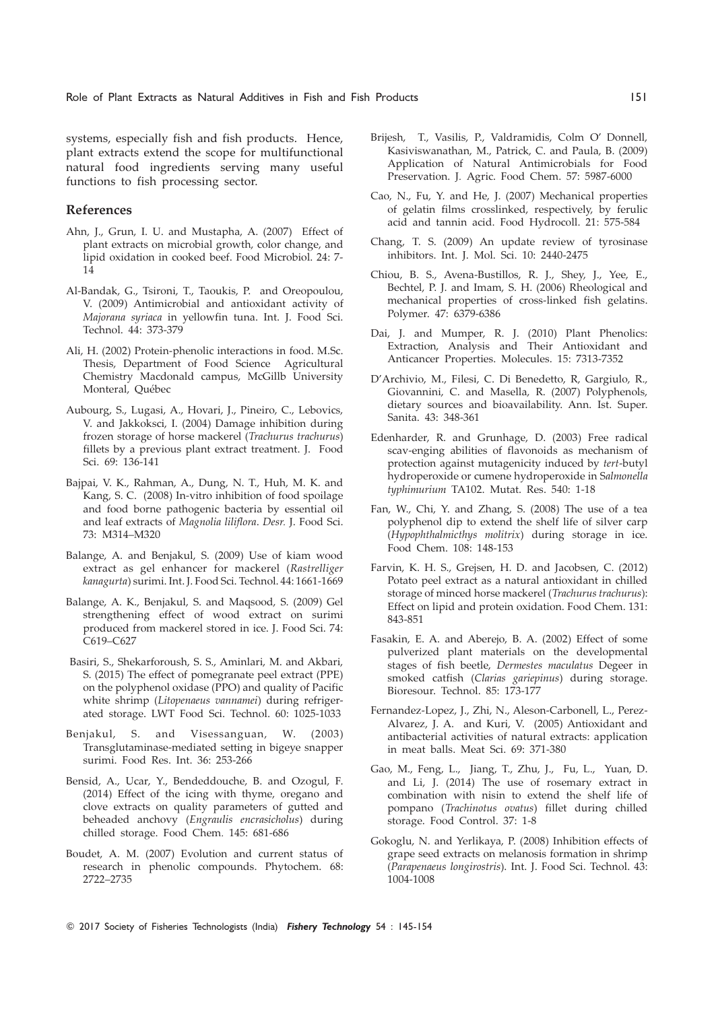systems, especially fish and fish products. Hence, plant extracts extend the scope for multifunctional natural food ingredients serving many useful functions to fish processing sector.

### References

- Ahn, J., Grun, I. U. and Mustapha, A. (2007) Effect of plant extracts on microbial growth, color change, and lipid oxidation in cooked beef. Food Microbiol. 24: 7- 14
- Al-Bandak, G., Tsironi, T., Taoukis, P. and Oreopoulou, V. (2009) Antimicrobial and antioxidant activity of Majorana syriaca in yellowfin tuna. Int. J. Food Sci. Technol. 44: 373-379
- Ali, H. (2002) Protein-phenolic interactions in food. M.Sc. Thesis, Department of Food Science Agricultural Chemistry Macdonald campus, McGillb University Monteral, Québec
- Aubourg, S., Lugasi, A., Hovari, J., Pineiro, C., Lebovics, V. and Jakkoksci, I. (2004) Damage inhibition during frozen storage of horse mackerel (Trachurus trachurus) fillets by a previous plant extract treatment. J. Food Sci. 69: 136-141
- Bajpai, V. K., Rahman, A., Dung, N. T., Huh, M. K. and Kang, S. C. (2008) In-vitro inhibition of food spoilage and food borne pathogenic bacteria by essential oil and leaf extracts of Magnolia liliflora. Desr. J. Food Sci. 73: M314–M320
- Balange, A. and Benjakul, S. (2009) Use of kiam wood extract as gel enhancer for mackerel (Rastrelliger kanagurta) surimi. Int. J. Food Sci. Technol. 44: 1661-1669
- Balange, A. K., Benjakul, S. and Maqsood, S. (2009) Gel strengthening effect of wood extract on surimi produced from mackerel stored in ice. J. Food Sci. 74: C619–C627
- Basiri, S., Shekarforoush, S. S., Aminlari, M. and Akbari, S. (2015) The effect of pomegranate peel extract (PPE) on the polyphenol oxidase (PPO) and quality of Pacific white shrimp (Litopenaeus vannamei) during refrigerated storage. LWT Food Sci. Technol. 60: 1025-1033
- Benjakul, S. and Visessanguan, W. (2003) Transglutaminase-mediated setting in bigeye snapper surimi. Food Res. Int. 36: 253-266
- Bensid, A., Ucar, Y., Bendeddouche, B. and Ozogul, F. (2014) Effect of the icing with thyme, oregano and clove extracts on quality parameters of gutted and beheaded anchovy (Engraulis encrasicholus) during chilled storage. Food Chem. 145: 681-686
- Boudet, A. M. (2007) Evolution and current status of research in phenolic compounds. Phytochem. 68: 2722–2735
- Brijesh, T., Vasilis, P., Valdramidis, Colm O' Donnell, Kasiviswanathan, M., Patrick, C. and Paula, B. (2009) Application of Natural Antimicrobials for Food Preservation. J. Agric. Food Chem. 57: 5987-6000
- Cao, N., Fu, Y. and He, J. (2007) Mechanical properties of gelatin films crosslinked, respectively, by ferulic acid and tannin acid. Food Hydrocoll. 21: 575-584
- Chang, T. S. (2009) An update review of tyrosinase inhibitors. Int. J. Mol. Sci. 10: 2440-2475
- Chiou, B. S., Avena-Bustillos, R. J., Shey, J., Yee, E., Bechtel, P. J. and Imam, S. H. (2006) Rheological and mechanical properties of cross-linked fish gelatins. Polymer. 47: 6379-6386
- Dai, J. and Mumper, R. J. (2010) Plant Phenolics: Extraction, Analysis and Their Antioxidant and Anticancer Properties. Molecules. 15: 7313-7352
- D'Archivio, M., Filesi, C. Di Benedetto, R, Gargiulo, R., Giovannini, C. and Masella, R. (2007) Polyphenols, dietary sources and bioavailability. Ann. Ist. Super. Sanita. 43: 348-361
- Edenharder, R. and Grunhage, D. (2003) Free radical scav-enging abilities of flavonoids as mechanism of protection against mutagenicity induced by tert-butyl hydroperoxide or cumene hydroperoxide in Salmonella typhimurium TA102. Mutat. Res. 540: 1-18
- Fan, W., Chi, Y. and Zhang, S. (2008) The use of a tea polyphenol dip to extend the shelf life of silver carp (Hypophthalmicthys molitrix) during storage in ice. Food Chem. 108: 148-153
- Farvin, K. H. S., Grejsen, H. D. and Jacobsen, C. (2012) Potato peel extract as a natural antioxidant in chilled storage of minced horse mackerel (Trachurus trachurus): Effect on lipid and protein oxidation. Food Chem. 131: 843-851
- Fasakin, E. A. and Aberejo, B. A. (2002) Effect of some pulverized plant materials on the developmental stages of fish beetle, Dermestes maculatus Degeer in smoked catfish (Clarias gariepinus) during storage. Bioresour. Technol. 85: 173-177
- Fernandez-Lopez, J., Zhi, N., Aleson-Carbonell, L., Perez-Alvarez, J. A. and Kuri, V. (2005) Antioxidant and antibacterial activities of natural extracts: application in meat balls. Meat Sci. 69: 371-380
- Gao, M., Feng, L., Jiang, T., Zhu, J., Fu, L., Yuan, D. and Li, J. (2014) The use of rosemary extract in combination with nisin to extend the shelf life of pompano (Trachinotus ovatus) fillet during chilled storage. Food Control. 37: 1-8
- Gokoglu, N. and Yerlikaya, P. (2008) Inhibition effects of grape seed extracts on melanosis formation in shrimp (Parapenaeus longirostris). Int. J. Food Sci. Technol. 43: 1004-1008
- © 2017 Society of Fisheries Technologists (India) Fishery Technology 54 : 145-154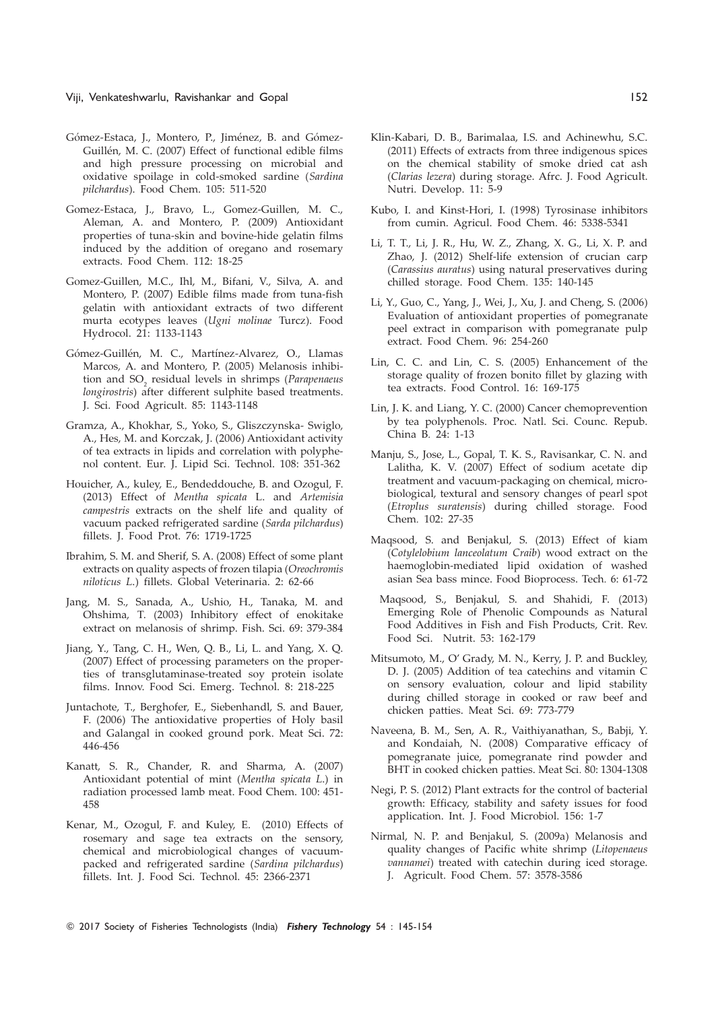#### Viji, Venkateshwarlu, Ravishankar and Gopal 152

- Gómez-Estaca, J., Montero, P., Jiménez, B. and Gómez-Guillén, M. C. (2007) Effect of functional edible films and high pressure processing on microbial and oxidative spoilage in cold-smoked sardine (Sardina pilchardus). Food Chem. 105: 511-520
- Gomez-Estaca, J., Bravo, L., Gomez-Guillen, M. C., Aleman, A. and Montero, P. (2009) Antioxidant properties of tuna-skin and bovine-hide gelatin films induced by the addition of oregano and rosemary extracts. Food Chem. 112: 18-25
- Gomez-Guillen, M.C., Ihl, M., Bifani, V., Silva, A. and Montero, P. (2007) Edible films made from tuna-fish gelatin with antioxidant extracts of two different murta ecotypes leaves (Ugni molinae Turcz). Food Hydrocol. 21: 1133-1143
- Gómez-Guillén, M. C., Martínez-Alvarez, O., Llamas Marcos, A. and Montero, P. (2005) Melanosis inhibition and  $SO_2$  residual levels in shrimps (Parapenaeus longirostris) after different sulphite based treatments. J. Sci. Food Agricult. 85: 1143-1148
- Gramza, A., Khokhar, S., Yoko, S., Gliszczynska- Swiglo, A., Hes, M. and Korczak, J. (2006) Antioxidant activity of tea extracts in lipids and correlation with polyphenol content. Eur. J. Lipid Sci. Technol. 108: 351-362
- Houicher, A., kuley, E., Bendeddouche, B. and Ozogul, F. (2013) Effect of Mentha spicata L. and Artemisia campestris extracts on the shelf life and quality of vacuum packed refrigerated sardine (Sarda pilchardus) fillets. J. Food Prot. 76: 1719-1725
- Ibrahim, S. M. and Sherif, S. A. (2008) Effect of some plant extracts on quality aspects of frozen tilapia (Oreochromis niloticus L.) fillets. Global Veterinaria. 2: 62-66
- Jang, M. S., Sanada, A., Ushio, H., Tanaka, M. and Ohshima, T. (2003) Inhibitory effect of enokitake extract on melanosis of shrimp. Fish. Sci. 69: 379-384
- Jiang, Y., Tang, C. H., Wen, Q. B., Li, L. and Yang, X. Q. (2007) Effect of processing parameters on the properties of transglutaminase-treated soy protein isolate films. Innov. Food Sci. Emerg. Technol. 8: 218-225
- Juntachote, T., Berghofer, E., Siebenhandl, S. and Bauer, F. (2006) The antioxidative properties of Holy basil and Galangal in cooked ground pork. Meat Sci. 72: 446-456
- Kanatt, S. R., Chander, R. and Sharma, A. (2007) Antioxidant potential of mint (Mentha spicata L.) in radiation processed lamb meat. Food Chem. 100: 451- 458
- Kenar, M., Ozogul, F. and Kuley, E. (2010) Effects of rosemary and sage tea extracts on the sensory, chemical and microbiological changes of vacuumpacked and refrigerated sardine (Sardina pilchardus) fillets. Int. J. Food Sci. Technol. 45: 2366-2371
- Klin-Kabari, D. B., Barimalaa, I.S. and Achinewhu, S.C. (2011) Effects of extracts from three indigenous spices on the chemical stability of smoke dried cat ash (Clarias lezera) during storage. Afrc. J. Food Agricult. Nutri. Develop. 11: 5-9
- Kubo, I. and Kinst-Hori, I. (1998) Tyrosinase inhibitors from cumin. Agricul. Food Chem. 46: 5338-5341
- Li, T. T., Li, J. R., Hu, W. Z., Zhang, X. G., Li, X. P. and Zhao, J. (2012) Shelf-life extension of crucian carp (Carassius auratus) using natural preservatives during chilled storage. Food Chem. 135: 140-145
- Li, Y., Guo, C., Yang, J., Wei, J., Xu, J. and Cheng, S. (2006) Evaluation of antioxidant properties of pomegranate peel extract in comparison with pomegranate pulp extract. Food Chem. 96: 254-260
- Lin, C. C. and Lin, C. S. (2005) Enhancement of the storage quality of frozen bonito fillet by glazing with tea extracts. Food Control. 16: 169-175
- Lin, J. K. and Liang, Y. C. (2000) Cancer chemoprevention by tea polyphenols. Proc. Natl. Sci. Counc. Repub. China B. 24: 1-13
- Manju, S., Jose, L., Gopal, T. K. S., Ravisankar, C. N. and Lalitha, K. V. (2007) Effect of sodium acetate dip treatment and vacuum-packaging on chemical, microbiological, textural and sensory changes of pearl spot (Etroplus suratensis) during chilled storage. Food Chem. 102: 27-35
- Maqsood, S. and Benjakul, S. (2013) Effect of kiam (Cotylelobium lanceolatum Craib) wood extract on the haemoglobin-mediated lipid oxidation of washed asian Sea bass mince. Food Bioprocess. Tech. 6: 61-72
- Maqsood, S., Benjakul, S. and Shahidi, F. (2013) Emerging Role of Phenolic Compounds as Natural Food Additives in Fish and Fish Products, Crit. Rev. Food Sci. Nutrit. 53: 162-179
- Mitsumoto, M., O' Grady, M. N., Kerry, J. P. and Buckley, D. J. (2005) Addition of tea catechins and vitamin C on sensory evaluation, colour and lipid stability during chilled storage in cooked or raw beef and chicken patties. Meat Sci. 69: 773-779
- Naveena, B. M., Sen, A. R., Vaithiyanathan, S., Babji, Y. and Kondaiah, N. (2008) Comparative efficacy of pomegranate juice, pomegranate rind powder and BHT in cooked chicken patties. Meat Sci. 80: 1304-1308
- Negi, P. S. (2012) Plant extracts for the control of bacterial growth: Efficacy, stability and safety issues for food application. Int. J. Food Microbiol. 156: 1-7
- Nirmal, N. P. and Benjakul, S. (2009a) Melanosis and quality changes of Pacific white shrimp (Litopenaeus vannamei) treated with catechin during iced storage. J. Agricult. Food Chem. 57: 3578-3586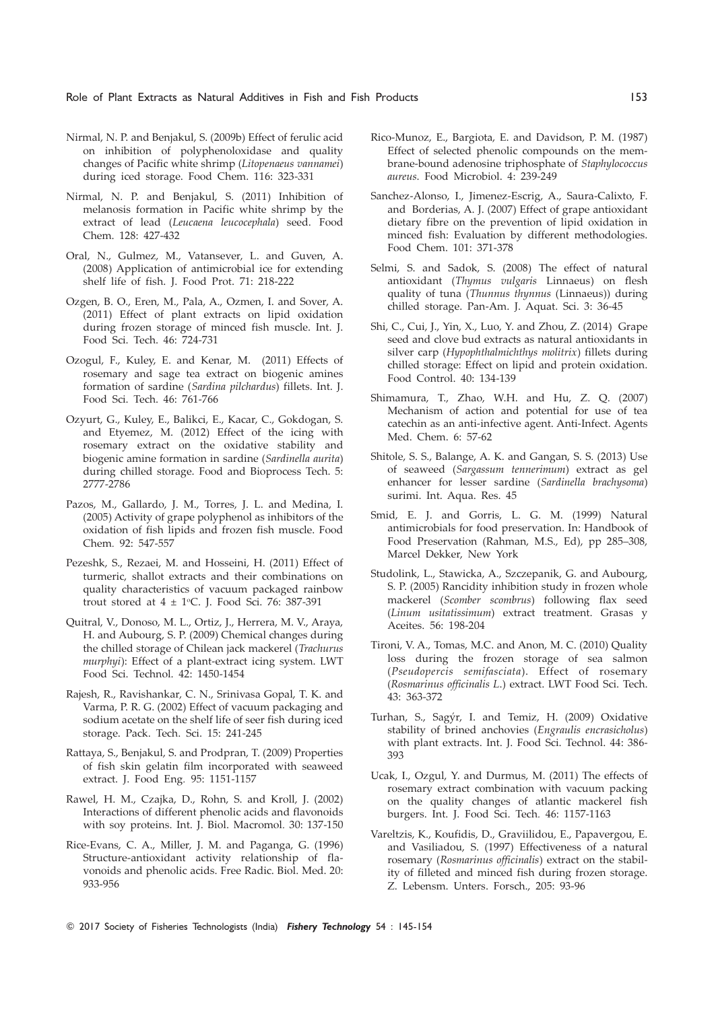- Nirmal, N. P. and Benjakul, S. (2009b) Effect of ferulic acid on inhibition of polyphenoloxidase and quality changes of Pacific white shrimp (Litopenaeus vannamei) during iced storage. Food Chem. 116: 323-331
- Nirmal, N. P. and Benjakul, S. (2011) Inhibition of melanosis formation in Pacific white shrimp by the extract of lead (Leucaena leucocephala) seed. Food Chem. 128: 427-432
- Oral, N., Gulmez, M., Vatansever, L. and Guven, A. (2008) Application of antimicrobial ice for extending shelf life of fish. J. Food Prot. 71: 218-222
- Ozgen, B. O., Eren, M., Pala, A., Ozmen, I. and Sover, A. (2011) Effect of plant extracts on lipid oxidation during frozen storage of minced fish muscle. Int. J. Food Sci. Tech. 46: 724-731
- Ozogul, F., Kuley, E. and Kenar, M. (2011) Effects of rosemary and sage tea extract on biogenic amines formation of sardine (Sardina pilchardus) fillets. Int. J. Food Sci. Tech. 46: 761-766
- Ozyurt, G., Kuley, E., Balikci, E., Kacar, C., Gokdogan, S. and Etyemez, M. (2012) Effect of the icing with rosemary extract on the oxidative stability and biogenic amine formation in sardine (Sardinella aurita) during chilled storage. Food and Bioprocess Tech. 5: 2777-2786
- Pazos, M., Gallardo, J. M., Torres, J. L. and Medina, I. (2005) Activity of grape polyphenol as inhibitors of the oxidation of fish lipids and frozen fish muscle. Food Chem. 92: 547-557
- Pezeshk, S., Rezaei, M. and Hosseini, H. (2011) Effect of turmeric, shallot extracts and their combinations on quality characteristics of vacuum packaged rainbow trout stored at  $4 \pm 1$ °C. J. Food Sci. 76: 387-391
- Quitral, V., Donoso, M. L., Ortiz, J., Herrera, M. V., Araya, H. and Aubourg, S. P. (2009) Chemical changes during the chilled storage of Chilean jack mackerel (Trachurus murphyi): Effect of a plant-extract icing system. LWT Food Sci. Technol. 42: 1450-1454
- Rajesh, R., Ravishankar, C. N., Srinivasa Gopal, T. K. and Varma, P. R. G. (2002) Effect of vacuum packaging and sodium acetate on the shelf life of seer fish during iced storage. Pack. Tech. Sci. 15: 241-245
- Rattaya, S., Benjakul, S. and Prodpran, T. (2009) Properties of fish skin gelatin film incorporated with seaweed extract. J. Food Eng. 95: 1151-1157
- Rawel, H. M., Czajka, D., Rohn, S. and Kroll, J. (2002) Interactions of different phenolic acids and flavonoids with soy proteins. Int. J. Biol. Macromol. 30: 137-150
- Rice-Evans, C. A., Miller, J. M. and Paganga, G. (1996) Structure-antioxidant activity relationship of flavonoids and phenolic acids. Free Radic. Biol. Med. 20: 933-956
- Rico-Munoz, E., Bargiota, E. and Davidson, P. M. (1987) Effect of selected phenolic compounds on the membrane-bound adenosine triphosphate of Staphylococcus aureus. Food Microbiol. 4: 239-249
- Sanchez-Alonso, I., Jimenez-Escrig, A., Saura-Calixto, F. and Borderias, A. J. (2007) Effect of grape antioxidant dietary fibre on the prevention of lipid oxidation in minced fish: Evaluation by different methodologies. Food Chem. 101: 371-378
- Selmi, S. and Sadok, S. (2008) The effect of natural antioxidant (Thymus vulgaris Linnaeus) on flesh quality of tuna (Thunnus thynnus (Linnaeus)) during chilled storage. Pan-Am. J. Aquat. Sci. 3: 36-45
- Shi, C., Cui, J., Yin, X., Luo, Y. and Zhou, Z. (2014) Grape seed and clove bud extracts as natural antioxidants in silver carp (Hypophthalmichthys molitrix) fillets during chilled storage: Effect on lipid and protein oxidation. Food Control. 40: 134-139
- Shimamura, T., Zhao, W.H. and Hu, Z. Q. (2007) Mechanism of action and potential for use of tea catechin as an anti-infective agent. Anti-Infect. Agents Med. Chem. 6: 57-62
- Shitole, S. S., Balange, A. K. and Gangan, S. S. (2013) Use of seaweed (Sargassum tennerimum) extract as gel enhancer for lesser sardine (Sardinella brachysoma) surimi. Int. Aqua. Res. 45
- Smid, E. J. and Gorris, L. G. M. (1999) Natural antimicrobials for food preservation. In: Handbook of Food Preservation (Rahman, M.S., Ed), pp 285–308, Marcel Dekker, New York
- Studolink, L., Stawicka, A., Szczepanik, G. and Aubourg, S. P. (2005) Rancidity inhibition study in frozen whole mackerel (Scomber scombrus) following flax seed (Linum usitatissimum) extract treatment. Grasas y Aceites. 56: 198-204
- Tironi, V. A., Tomas, M.C. and Anon, M. C. (2010) Quality loss during the frozen storage of sea salmon (Pseudopercis semifasciata). Effect of rosemary (Rosmarinus officinalis L.) extract. LWT Food Sci. Tech. 43: 363-372
- Turhan, S., Sagýr, I. and Temiz, H. (2009) Oxidative stability of brined anchovies (Engraulis encrasicholus) with plant extracts. Int. J. Food Sci. Technol. 44: 386- 393
- Ucak, I., Ozgul, Y. and Durmus, M. (2011) The effects of rosemary extract combination with vacuum packing on the quality changes of atlantic mackerel fish burgers. Int. J. Food Sci. Tech. 46: 1157-1163
- Vareltzis, K., Koufidis, D., Graviilidou, E., Papavergou, E. and Vasiliadou, S. (1997) Effectiveness of a natural rosemary (Rosmarinus officinalis) extract on the stability of filleted and minced fish during frozen storage. Z. Lebensm. Unters. Forsch., 205: 93-96
- © 2017 Society of Fisheries Technologists (India) Fishery Technology 54 : 145-154